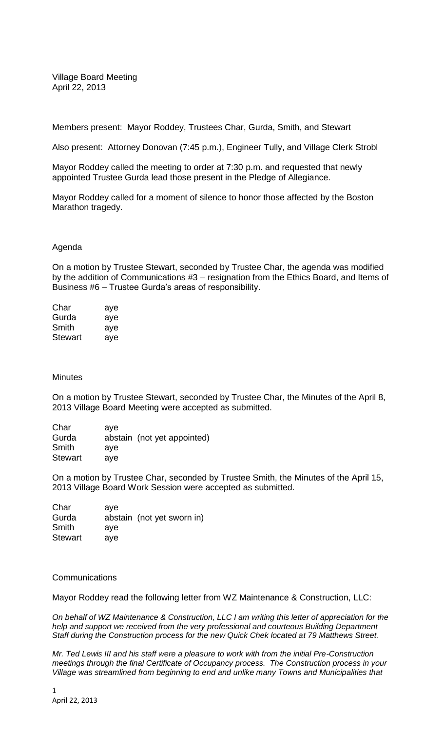Village Board Meeting April 22, 2013

Members present: Mayor Roddey, Trustees Char, Gurda, Smith, and Stewart

Also present: Attorney Donovan (7:45 p.m.), Engineer Tully, and Village Clerk Strobl

Mayor Roddey called the meeting to order at 7:30 p.m. and requested that newly appointed Trustee Gurda lead those present in the Pledge of Allegiance.

Mayor Roddey called for a moment of silence to honor those affected by the Boston Marathon tragedy.

## Agenda

On a motion by Trustee Stewart, seconded by Trustee Char, the agenda was modified by the addition of Communications #3 – resignation from the Ethics Board, and Items of Business #6 – Trustee Gurda's areas of responsibility.

| Char           | aye |
|----------------|-----|
| Gurda          | aye |
| Smith          | aye |
| <b>Stewart</b> | aye |

## **Minutes**

On a motion by Trustee Stewart, seconded by Trustee Char, the Minutes of the April 8, 2013 Village Board Meeting were accepted as submitted.

| Char           | ave                         |  |
|----------------|-----------------------------|--|
| Gurda          | abstain (not yet appointed) |  |
| Smith          | ave                         |  |
| <b>Stewart</b> | ave                         |  |

On a motion by Trustee Char, seconded by Trustee Smith, the Minutes of the April 15, 2013 Village Board Work Session were accepted as submitted.

| Char           | ave |                            |
|----------------|-----|----------------------------|
| Gurda          |     | abstain (not yet sworn in) |
| Smith          | ave |                            |
| <b>Stewart</b> | ave |                            |

## Communications

Mayor Roddey read the following letter from WZ Maintenance & Construction, LLC:

*On behalf of WZ Maintenance & Construction, LLC I am writing this letter of appreciation for the help and support we received from the very professional and courteous Building Department Staff during the Construction process for the new Quick Chek located at 79 Matthews Street.*

*Mr. Ted Lewis III and his staff were a pleasure to work with from the initial Pre-Construction meetings through the final Certificate of Occupancy process. The Construction process in your Village was streamlined from beginning to end and unlike many Towns and Municipalities that*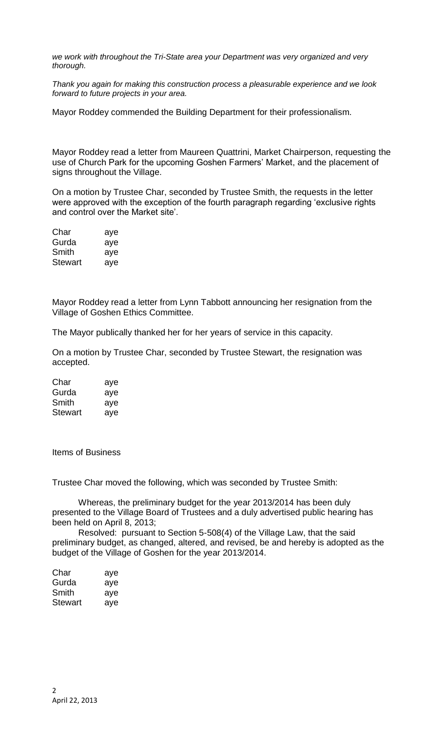*we work with throughout the Tri-State area your Department was very organized and very thorough.*

*Thank you again for making this construction process a pleasurable experience and we look forward to future projects in your area.*

Mayor Roddey commended the Building Department for their professionalism.

Mayor Roddey read a letter from Maureen Quattrini, Market Chairperson, requesting the use of Church Park for the upcoming Goshen Farmers' Market, and the placement of signs throughout the Village.

On a motion by Trustee Char, seconded by Trustee Smith, the requests in the letter were approved with the exception of the fourth paragraph regarding 'exclusive rights and control over the Market site'.

| Char    | aye |
|---------|-----|
| Gurda   | aye |
| Smith   | aye |
| Stewart | aye |

Mayor Roddey read a letter from Lynn Tabbott announcing her resignation from the Village of Goshen Ethics Committee.

The Mayor publically thanked her for her years of service in this capacity.

On a motion by Trustee Char, seconded by Trustee Stewart, the resignation was accepted.

| Char           | aye |
|----------------|-----|
| Gurda          | aye |
| Smith          | aye |
| <b>Stewart</b> | aye |

Items of Business

Trustee Char moved the following, which was seconded by Trustee Smith:

Whereas, the preliminary budget for the year 2013/2014 has been duly presented to the Village Board of Trustees and a duly advertised public hearing has been held on April 8, 2013;

Resolved: pursuant to Section 5-508(4) of the Village Law, that the said preliminary budget, as changed, altered, and revised, be and hereby is adopted as the budget of the Village of Goshen for the year 2013/2014.

| Char    | aye |
|---------|-----|
| Gurda   | aye |
| Smith   | aye |
| Stewart | aye |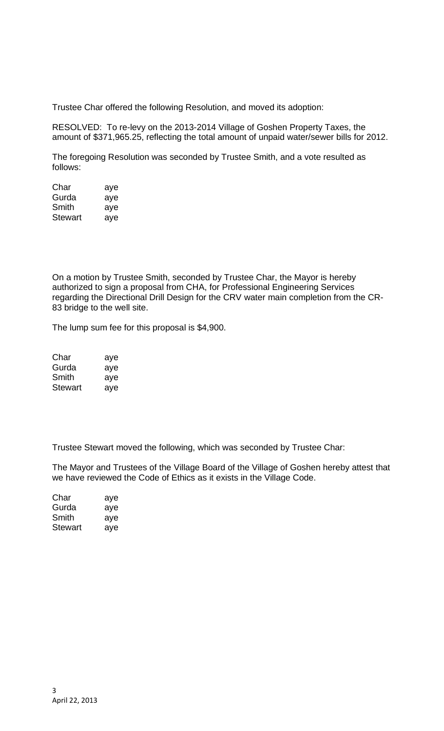Trustee Char offered the following Resolution, and moved its adoption:

RESOLVED: To re-levy on the 2013-2014 Village of Goshen Property Taxes, the amount of \$371,965.25, reflecting the total amount of unpaid water/sewer bills for 2012.

The foregoing Resolution was seconded by Trustee Smith, and a vote resulted as follows:

| Char           | aye |
|----------------|-----|
| Gurda          | aye |
| Smith          | aye |
| <b>Stewart</b> | aye |

On a motion by Trustee Smith, seconded by Trustee Char, the Mayor is hereby authorized to sign a proposal from CHA, for Professional Engineering Services regarding the Directional Drill Design for the CRV water main completion from the CR-83 bridge to the well site.

The lump sum fee for this proposal is \$4,900.

| Char    | aye |
|---------|-----|
| Gurda   | aye |
| Smith   | aye |
| Stewart | ave |

Trustee Stewart moved the following, which was seconded by Trustee Char:

The Mayor and Trustees of the Village Board of the Village of Goshen hereby attest that we have reviewed the Code of Ethics as it exists in the Village Code.

| Char    | aye |
|---------|-----|
| Gurda   | aye |
| Smith   | aye |
| Stewart | aye |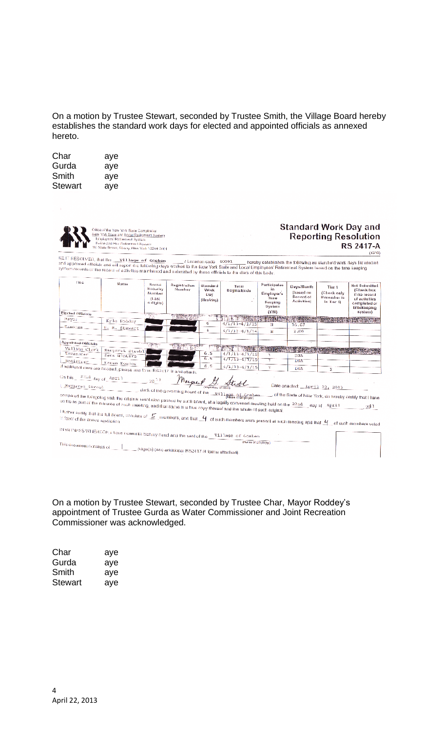On a motion by Trustee Stewart, seconded by Trustee Smith, the Village Board hereby establishes the standard work days for elected and appointed officials as annexed hereto.

| Char    | aye |
|---------|-----|
| Gurda   | aye |
| Smith   | aye |
| Stewart | aye |

|                                                                                          | Office.of the New York State Comptonier<br>New York State and Local Registment System<br>Employees' Ratirement System<br>Police and His Retirement System<br>110 State Straat, Alberty, New York 12244-0001                                                                                        |                                                    |                                                   |                                       |                                                             |                                                                |                                                            |                                                                    | <b>Standard Work Day and</b><br><b>Reporting Resolution</b><br><b>RS 2417-A</b><br>(12/10)         |
|------------------------------------------------------------------------------------------|----------------------------------------------------------------------------------------------------------------------------------------------------------------------------------------------------------------------------------------------------------------------------------------------------|----------------------------------------------------|---------------------------------------------------|---------------------------------------|-------------------------------------------------------------|----------------------------------------------------------------|------------------------------------------------------------|--------------------------------------------------------------------|----------------------------------------------------------------------------------------------------|
| BE IT RESOLVED, that the                                                                 | Village of Goshen<br>and appointed officials and will report the following days worked to the New York State and Local Employees' Retirement System based on the time keeping<br>system records or the record of activities maintained and submitted by these officials to the clark of this body: |                                                    |                                                   | $1$ Locailon code $-40091$            |                                                             |                                                                |                                                            | hereby establishes the following as slanderd work days for elected |                                                                                                    |
| Title                                                                                    | Name.                                                                                                                                                                                                                                                                                              | Social<br>Security<br>Humber<br>íLast<br>4 digits) | Registration<br>Number                            | Standard<br>Work<br>Liav<br>(Hrsklav) | Terar<br>Begins/Ends                                        | Participates<br>Employer's<br>Time<br>Keeping<br><b>System</b> | Days/Month<br>(based on<br>Record of<br><b>Activities)</b> | Tier <sub>1</sub><br>(Check only<br>If member is<br>in fier 1)     | <b>Not Submitted</b><br>(Check box<br>if no record<br>of activities<br>completed or<br>timekeeping |
| <b>Elected Officials</b>                                                                 |                                                                                                                                                                                                                                                                                                    |                                                    | <b>TELEVISION</b>                                 |                                       |                                                             | (Y/N)                                                          |                                                            |                                                                    | system)                                                                                            |
| Mayor                                                                                    | Kyle Rodday                                                                                                                                                                                                                                                                                        |                                                    |                                                   | 6                                     | $4/1/13 - 4/1/15$                                           | N                                                              | 16.67                                                      |                                                                    |                                                                                                    |
| Trustee                                                                                  | H. M. Stewart                                                                                                                                                                                                                                                                                      |                                                    |                                                   | 6                                     | $4/1/12 - 4/1/14$                                           | Ν                                                              | 2.00                                                       |                                                                    |                                                                                                    |
| Appointed Officials<br>Village Clerk<br>Treasurer<br>Registrar                           | Margaret Strobl<br>Sara Winters<br>Karen Kozior<br>if additional rows are needed, please use form RS2417 B and attach.                                                                                                                                                                             |                                                    |                                                   | 6.5<br>6.5<br>6.5                     | $4/1/13 - 4/1/15$<br>$4/1/13 - 4/1/15$<br>$4/1/13 - 4/1/15$ | Ÿ<br>v                                                         | DNA<br><b>DNA</b><br>DNA                                   | х                                                                  |                                                                                                    |
| On this $=$ $\frac{23 \text{nd}}{4}$ day of $\frac{4 \text{pr11}}{4}$<br>Margaret Stropl |                                                                                                                                                                                                                                                                                                    | <b>26 13</b>                                       | Mayas                                             |                                       |                                                             |                                                                | Date enacted: April 22, 2013                               |                                                                    |                                                                                                    |
|                                                                                          | compared the foregoing with the original resolution passed by such board, at a legally converted meeting held on the 22nd __day of _April 1<br>on file as part of the minutes of such meeting, and that same is a frue copy thereof and the whole of such original.                                |                                                    |                                                   |                                       |                                                             |                                                                |                                                            |                                                                    | , of the State of New York, do hereby certify that I have<br>$20^{13}$                             |
|                                                                                          | i further certify that the full board, consists of $\le$ mombers, and that $\frac{U}{\sqrt{1}}$ of such mombers were present at such meeting and that $\frac{U}{\sqrt{1}}$ of such members voted                                                                                                   |                                                    |                                                   |                                       |                                                             |                                                                |                                                            |                                                                    |                                                                                                    |
|                                                                                          | IN WITNESS WHEREOF, i have noreunto Set my hand and the seal of the Village of Gosber                                                                                                                                                                                                              |                                                    |                                                   |                                       |                                                             |                                                                |                                                            |                                                                    |                                                                                                    |
| This document consists of                                                                |                                                                                                                                                                                                                                                                                                    |                                                    | page(s) (see additional RS2417-B forms attached). |                                       | (Name of Employer)                                          |                                                                |                                                            |                                                                    |                                                                                                    |

On a motion by Trustee Stewart, seconded by Trustee Char, Mayor Roddey's appointment of Trustee Gurda as Water Commissioner and Joint Recreation Commissioner was acknowledged.

| Char    | aye |
|---------|-----|
| Gurda   | aye |
| Smith   | aye |
| Stewart | aye |